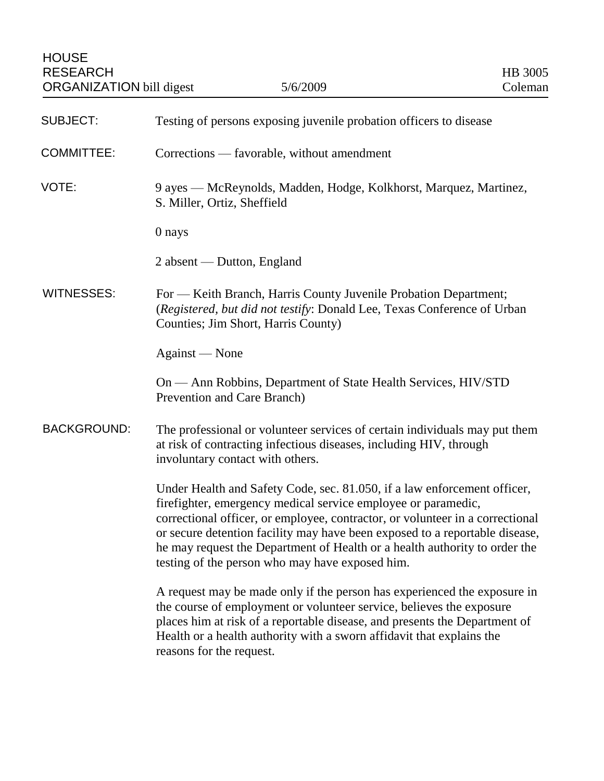| <b>SUBJECT:</b>    | Testing of persons exposing juvenile probation officers to disease                                                                                                                                                                                                                                                                                                                                                                         |
|--------------------|--------------------------------------------------------------------------------------------------------------------------------------------------------------------------------------------------------------------------------------------------------------------------------------------------------------------------------------------------------------------------------------------------------------------------------------------|
| <b>COMMITTEE:</b>  | Corrections — favorable, without amendment                                                                                                                                                                                                                                                                                                                                                                                                 |
| VOTE:              | 9 ayes — McReynolds, Madden, Hodge, Kolkhorst, Marquez, Martinez,<br>S. Miller, Ortiz, Sheffield                                                                                                                                                                                                                                                                                                                                           |
|                    | 0 nays                                                                                                                                                                                                                                                                                                                                                                                                                                     |
|                    | 2 absent — Dutton, England                                                                                                                                                                                                                                                                                                                                                                                                                 |
| <b>WITNESSES:</b>  | For — Keith Branch, Harris County Juvenile Probation Department;<br>(Registered, but did not testify: Donald Lee, Texas Conference of Urban<br>Counties; Jim Short, Harris County)                                                                                                                                                                                                                                                         |
|                    | Against — None                                                                                                                                                                                                                                                                                                                                                                                                                             |
|                    | On — Ann Robbins, Department of State Health Services, HIV/STD<br>Prevention and Care Branch)                                                                                                                                                                                                                                                                                                                                              |
| <b>BACKGROUND:</b> | The professional or volunteer services of certain individuals may put them<br>at risk of contracting infectious diseases, including HIV, through<br>involuntary contact with others.                                                                                                                                                                                                                                                       |
|                    | Under Health and Safety Code, sec. 81.050, if a law enforcement officer,<br>firefighter, emergency medical service employee or paramedic,<br>correctional officer, or employee, contractor, or volunteer in a correctional<br>or secure detention facility may have been exposed to a reportable disease,<br>he may request the Department of Health or a health authority to order the<br>testing of the person who may have exposed him. |
|                    | A request may be made only if the person has experienced the exposure in<br>the course of employment or volunteer service, believes the exposure<br>places him at risk of a reportable disease, and presents the Department of<br>Health or a health authority with a sworn affidavit that explains the<br>reasons for the request.                                                                                                        |